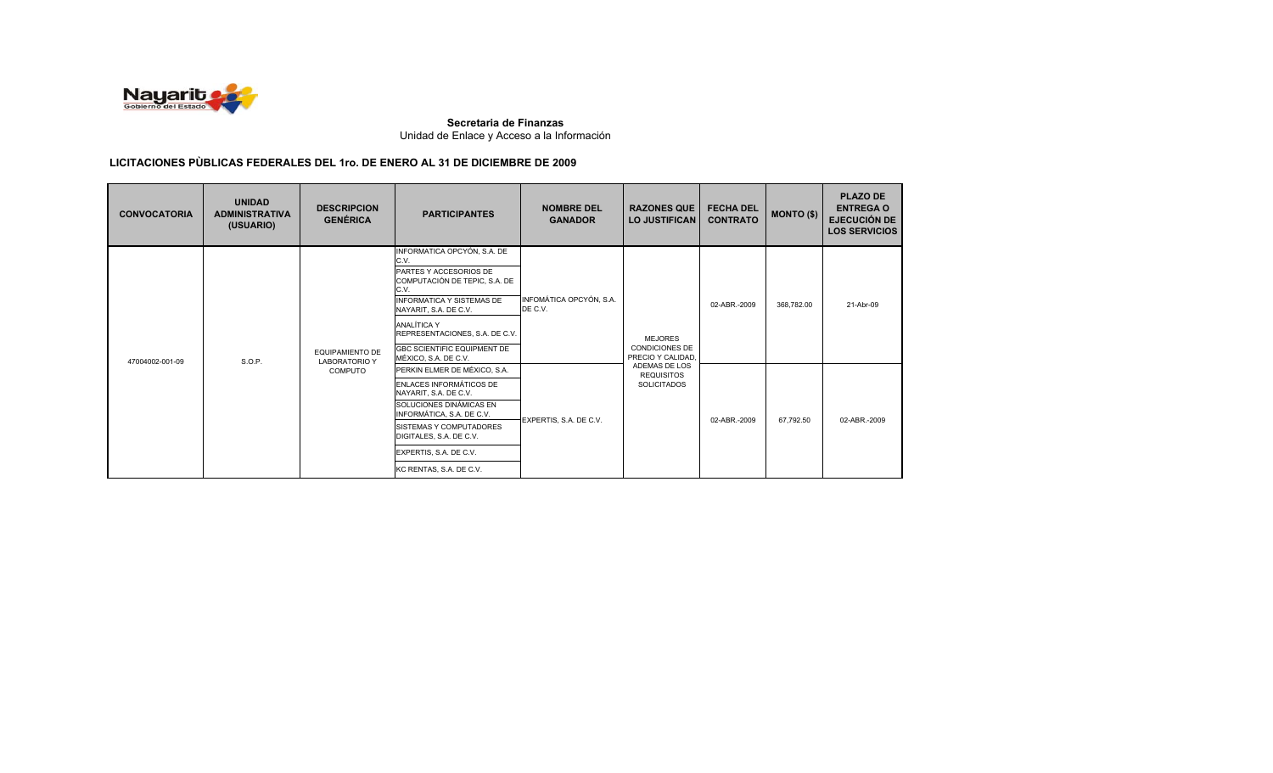

# **LICITACIONES PÙBLICAS FEDERALES DEL 1ro. DE ENERO AL 31 DE DICIEMBRE DE 2009**

| <b>CONVOCATORIA</b> | <b>UNIDAD</b><br><b>ADMINISTRATIVA</b><br>(USUARIO) | <b>DESCRIPCION</b><br><b>GENÉRICA</b>                     | <b>PARTICIPANTES</b>                                                                                                                                                                                                                                                                      | <b>NOMBRE DEL</b><br><b>GANADOR</b>                          | <b>RAZONES QUE</b><br><b>LO JUSTIFICAN</b>                   | <b>FECHA DEL</b><br><b>CONTRATO</b> | <b>MONTO (\$)</b> | <b>PLAZO DE</b><br><b>ENTREGA O</b><br><b>EJECUCIÓN DE</b><br><b>LOS SERVICIOS</b> |
|---------------------|-----------------------------------------------------|-----------------------------------------------------------|-------------------------------------------------------------------------------------------------------------------------------------------------------------------------------------------------------------------------------------------------------------------------------------------|--------------------------------------------------------------|--------------------------------------------------------------|-------------------------------------|-------------------|------------------------------------------------------------------------------------|
| 47004002-001-09     | S.O.P.                                              | <b>EQUIPAMIENTO DE</b><br><b>LABORATORIO Y</b><br>COMPUTO | INFORMATICA OPCYÓN, S.A. DE<br>C.V.<br>PARTES Y ACCESORIOS DE<br>COMPUTACIÓN DE TEPIC, S.A. DE<br>C.V.<br><b>INFORMATICA Y SISTEMAS DE</b><br>NAYARIT, S.A. DE C.V.<br><b>ANALÍTICA Y</b><br>REPRESENTACIONES, S.A. DE C.V.<br><b>GBC SCIENTIFIC EQUIPMENT DE</b><br>MÉXICO, S.A. DE C.V. | INFOMÁTICA OPCYÓN, S.A.<br>DE C.V.<br>EXPERTIS, S.A. DE C.V. | <b>MEJORES</b><br><b>CONDICIONES DE</b><br>PRECIO Y CALIDAD, | 02-ABR .- 2009                      | 368,782.00        | 21-Abr-09                                                                          |
|                     |                                                     |                                                           | PERKIN ELMER DE MÉXICO. S.A.<br>ENLACES INFORMÁTICOS DE<br>NAYARIT, S.A. DE C.V.<br>SOLUCIONES DINÁMICAS EN<br>INFORMÁTICA, S.A. DE C.V.<br>SISTEMAS Y COMPUTADORES<br>DIGITALES, S.A. DE C.V.<br>EXPERTIS, S.A. DE C.V.<br>KC RENTAS, S.A. DE C.V.                                       |                                                              | ADEMAS DE LOS<br><b>REQUISITOS</b><br><b>SOLICITADOS</b>     | 02-ABR.-2009                        | 67,792.50         | 02-ABR.-2009                                                                       |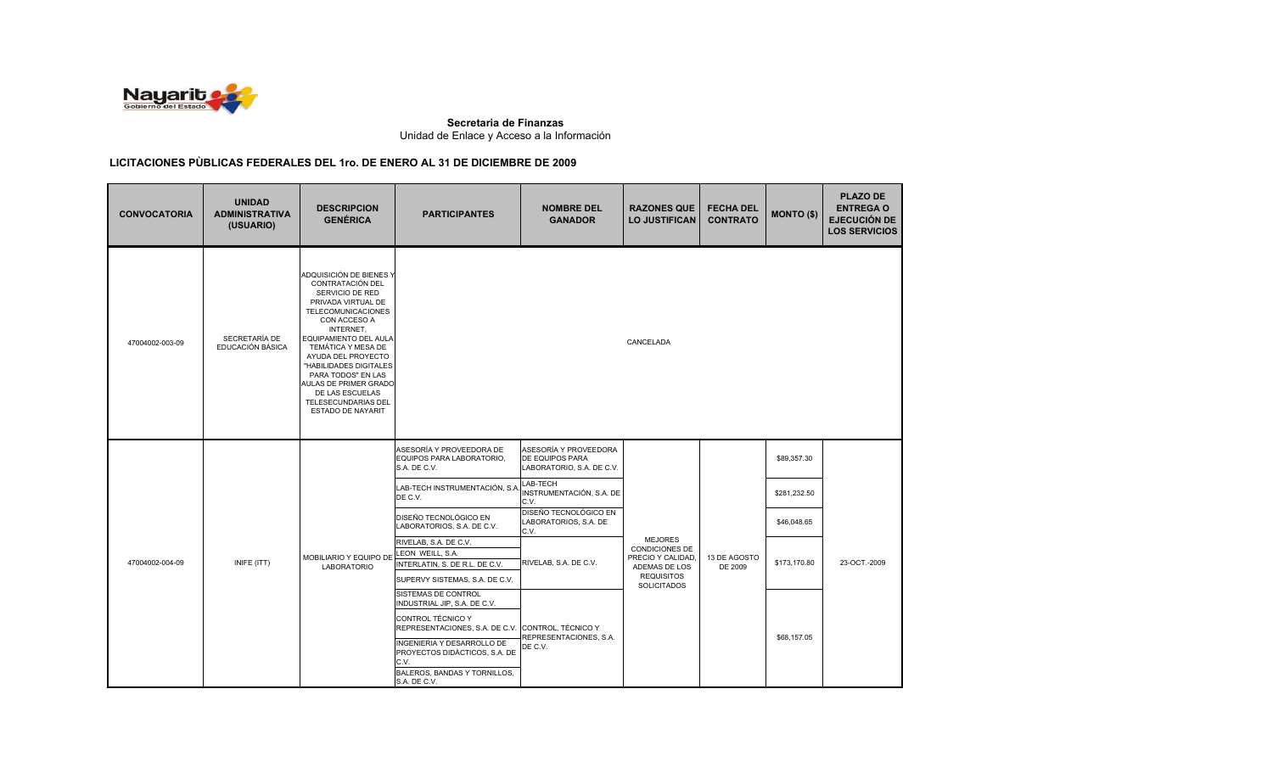

# **LICITACIONES PÙBLICAS FEDERALES DEL 1ro. DE ENERO AL 31 DE DICIEMBRE DE 2009**

| <b>CONVOCATORIA</b> | <b>UNIDAD</b><br><b>ADMINISTRATIVA</b><br>(USUARIO) | <b>DESCRIPCION</b><br><b>GENÉRICA</b>                                                                                                                                                                                                                                                                                                                                     | <b>PARTICIPANTES</b>                                                                                | <b>NOMBRE DEL</b><br><b>GANADOR</b>                                   | <b>RAZONES QUE</b><br><b>LO JUSTIFICAN</b>                                                                        | <b>FECHA DEL</b><br><b>CONTRATO</b> | <b>MONTO (\$)</b> | <b>PLAZO DE</b><br><b>ENTREGA O</b><br><b>EJECUCIÓN DE</b><br><b>LOS SERVICIOS</b> |
|---------------------|-----------------------------------------------------|---------------------------------------------------------------------------------------------------------------------------------------------------------------------------------------------------------------------------------------------------------------------------------------------------------------------------------------------------------------------------|-----------------------------------------------------------------------------------------------------|-----------------------------------------------------------------------|-------------------------------------------------------------------------------------------------------------------|-------------------------------------|-------------------|------------------------------------------------------------------------------------|
| 47004002-003-09     | SECRETARÍA DE<br>EDUCACIÓN BÁSICA                   | ADQUISICIÓN DE BIENES Y<br>CONTRATACIÓN DEL<br>SERVICIO DE RED<br>PRIVADA VIRTUAL DE<br>TELECOMUNICACIONES<br>CON ACCESO A<br>INTERNET,<br><b>EQUIPAMIENTO DEL AULA</b><br><b>TEMÁTICA Y MESA DE</b><br>AYUDA DEL PROYECTO<br>'HABILIDADES DIGITALES<br>PARA TODOS" EN LAS<br>AULAS DE PRIMER GRADO<br>DE LAS ESCUELAS<br>TELESECUNDARIAS DEL<br><b>ESTADO DE NAYARIT</b> |                                                                                                     |                                                                       | CANCELADA                                                                                                         |                                     |                   |                                                                                    |
|                     | INIFE (ITT)                                         | MOBILIARIO Y EQUIPO DE<br><b>LABORATORIO</b>                                                                                                                                                                                                                                                                                                                              | ASESORÍA Y PROVEEDORA DE<br>EQUIPOS PARA LABORATORIO,<br>S.A. DE C.V.                               | ASESORÍA Y PROVEEDORA<br>DE EQUIPOS PARA<br>LABORATORIO, S.A. DE C.V. | <b>MEJORES</b><br>CONDICIONES DE<br>PRECIO Y CALIDAD,<br>ADEMAS DE LOS<br><b>REQUISITOS</b><br><b>SOLICITADOS</b> | 13 DE AGOSTO<br>DE 2009             | \$89,357.30       |                                                                                    |
|                     |                                                     |                                                                                                                                                                                                                                                                                                                                                                           | LAB-TECH INSTRUMENTACIÓN, S.A<br>DE C.V.                                                            | LAB-TECH<br>INSTRUMENTACIÓN, S.A. DE<br>C.V.                          |                                                                                                                   |                                     | \$281,232.50      |                                                                                    |
|                     |                                                     |                                                                                                                                                                                                                                                                                                                                                                           | DISEÑO TECNOLÓGICO EN<br>LABORATORIOS, S.A. DE C.V.                                                 | DISEÑO TECNOLÓGICO EN<br>LABORATORIOS, S.A. DE<br>C.V.                |                                                                                                                   |                                     | \$46,048.65       |                                                                                    |
|                     |                                                     |                                                                                                                                                                                                                                                                                                                                                                           | RIVELAB, S.A. DE C.V.                                                                               | RIVELAB, S.A. DE C.V.                                                 |                                                                                                                   |                                     | \$173,170.80      |                                                                                    |
| 47004002-004-09     |                                                     |                                                                                                                                                                                                                                                                                                                                                                           | LEON WEILL, S.A.<br>INTERLATIN, S. DE R.L. DE C.V.                                                  |                                                                       |                                                                                                                   |                                     |                   | 23-OCT.-2009                                                                       |
|                     |                                                     |                                                                                                                                                                                                                                                                                                                                                                           | SUPERVY SISTEMAS, S.A. DE C.V.                                                                      |                                                                       |                                                                                                                   |                                     |                   |                                                                                    |
|                     |                                                     |                                                                                                                                                                                                                                                                                                                                                                           | SISTEMAS DE CONTROL<br>INDUSTRIAL JIP, S.A. DE C.V.                                                 | REPRESENTACIONES, S.A.<br>DE C.V.                                     |                                                                                                                   |                                     | \$68,157.05       |                                                                                    |
|                     |                                                     |                                                                                                                                                                                                                                                                                                                                                                           | CONTROL TÉCNICO Y<br>REPRESENTACIONES, S.A. DE C.V. CONTROL, TÉCNICO Y                              |                                                                       |                                                                                                                   |                                     |                   |                                                                                    |
|                     |                                                     |                                                                                                                                                                                                                                                                                                                                                                           | INGENIERIA Y DESARROLLO DE<br>PROYECTOS DIDÀCTICOS, S.A. DE<br>C.V.<br>BALEROS, BANDAS Y TORNILLOS, |                                                                       |                                                                                                                   |                                     |                   |                                                                                    |
|                     |                                                     |                                                                                                                                                                                                                                                                                                                                                                           | S.A. DE C.V.                                                                                        |                                                                       |                                                                                                                   |                                     |                   |                                                                                    |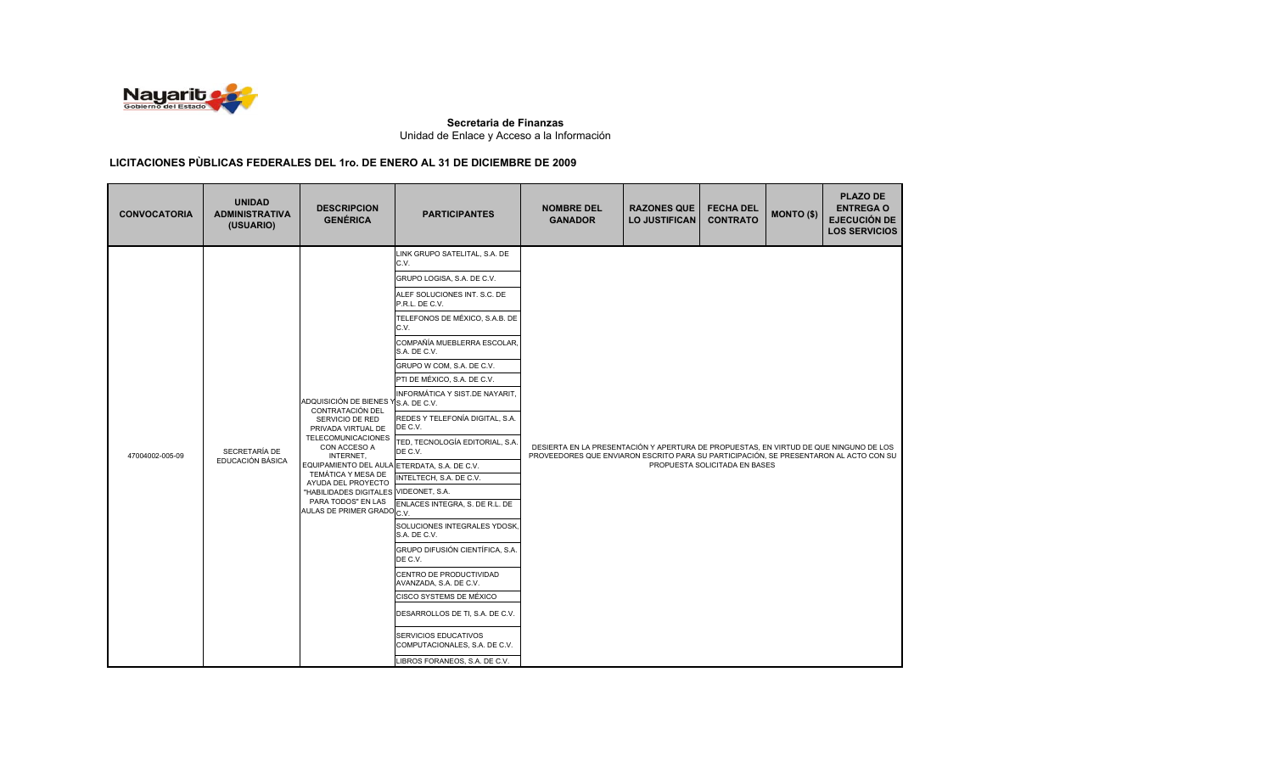

## **LICITACIONES PÙBLICAS FEDERALES DEL 1ro. DE ENERO AL 31 DE DICIEMBRE DE 2009**

| <b>CONVOCATORIA</b> | <b>UNIDAD</b><br><b>ADMINISTRATIVA</b><br>(USUARIO) | <b>DESCRIPCION</b><br><b>GENÉRICA</b>                                                                                                                                                                                                                                                                                                       | <b>PARTICIPANTES</b>                                                                                                                                                                                                                                                                                                                                                                                                                                                                                                                                                                                                                                                                                                                                                             | <b>NOMBRE DEL</b><br><b>GANADOR</b>                                                                                                                                            | <b>RAZONES QUE</b><br><b>LO JUSTIFICAN</b> | <b>FECHA DEL</b><br><b>CONTRATO</b> | <b>MONTO (\$)</b> | <b>PLAZO DE</b><br><b>ENTREGA O</b><br><b>EJECUCIÓN DE</b><br><b>LOS SERVICIOS</b> |
|---------------------|-----------------------------------------------------|---------------------------------------------------------------------------------------------------------------------------------------------------------------------------------------------------------------------------------------------------------------------------------------------------------------------------------------------|----------------------------------------------------------------------------------------------------------------------------------------------------------------------------------------------------------------------------------------------------------------------------------------------------------------------------------------------------------------------------------------------------------------------------------------------------------------------------------------------------------------------------------------------------------------------------------------------------------------------------------------------------------------------------------------------------------------------------------------------------------------------------------|--------------------------------------------------------------------------------------------------------------------------------------------------------------------------------|--------------------------------------------|-------------------------------------|-------------------|------------------------------------------------------------------------------------|
| 47004002-005-09     | SECRETARÍA DE<br>EDUCACIÓN BÁSICA                   | ADQUISICIÓN DE BIENES YS.A. DE C.V.<br>CONTRATACIÓN DEL<br>SERVICIO DE RED<br>PRIVADA VIRTUAL DE<br>TELECOMUNICACIONES<br>CON ACCESO A<br>INTERNET,<br>EQUIPAMIENTO DEL AULA ETERDATA, S.A. DE C.V.<br>TEMÁTICA Y MESA DE<br>AYUDA DEL PROYECTO<br>"HABILIDADES DIGITALES VIDEONET, S.A.<br>PARA TODOS" EN LAS<br>AULAS DE PRIMER GRADOC.V. | LINK GRUPO SATELITAL, S.A. DE<br>C.V.<br>GRUPO LOGISA, S.A. DE C.V.<br>ALEF SOLUCIONES INT. S.C. DE<br>P.R.L. DE C.V.<br>TELEFONOS DE MÉXICO, S.A.B. DE<br>C.V.<br>COMPAÑÍA MUEBLERRA ESCOLAR,<br>S.A. DE C.V.<br>GRUPO W COM, S.A. DE C.V.<br>PTI DE MÉXICO, S.A. DE C.V.<br>INFORMÁTICA Y SIST.DE NAYARIT.<br>REDES Y TELEFONÍA DIGITAL, S.A.<br>DE C.V.<br>TED, TECNOLOGÍA EDITORIAL, S.A.<br>DE C.V.<br>INTELTECH, S.A. DE C.V.<br>ENLACES INTEGRA, S. DE R.L. DE<br>SOLUCIONES INTEGRALES YDOSK.<br>S.A. DE C.V.<br>GRUPO DIFUSIÓN CIENTÍFICA, S.A.<br>DE C.V.<br>CENTRO DE PRODUCTIVIDAD<br>AVANZADA, S.A. DE C.V.<br>CISCO SYSTEMS DE MÉXICO<br>DESARROLLOS DE TI, S.A. DE C.V.<br>SERVICIOS EDUCATIVOS<br>COMPUTACIONALES, S.A. DE C.V.<br>LIBROS FORANEOS, S.A. DE C.V. | DESIERTA EN LA PRESENTACIÓN Y APERTURA DE PROPUESTAS, EN VIRTUD DE QUE NINGUNO DE LOS<br>PROVEEDORES QUE ENVIARON ESCRITO PARA SU PARTICIPACIÓN, SE PRESENTARON AL ACTO CON SU |                                            | PROPUESTA SOLICITADA EN BASES       |                   |                                                                                    |